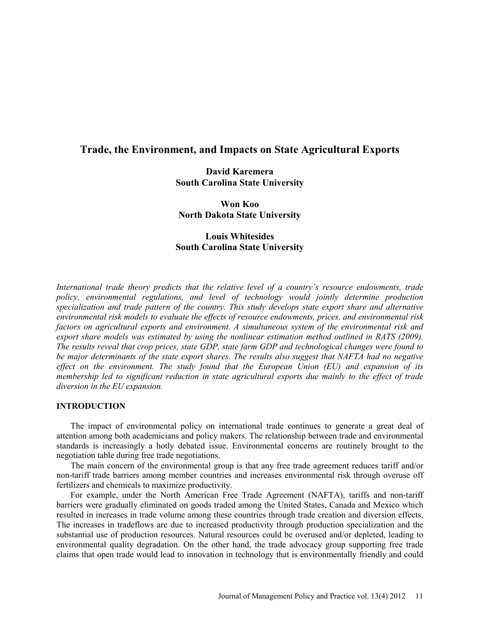# **Trade, the Environment, and Impacts on State Agricultural Exports**

# **David Karemera South Carolina State University**

**Won Koo North Dakota State University** 

# **Louis Whitesides South Carolina State University**

*International trade theory predicts that the relative level of a country's resource endowments, trade policy, environmental regulations, and level of technology would jointly determine production specialization and trade pattern of the country. This study develops state export share and alternative environmental risk models to evaluate the effects of resource endowments, prices, and environmental risk factors on agricultural exports and environment. A simultaneous system of the environmental risk and export share models was estimated by using the nonlinear estimation method outlined in RATS (2009). The results reveal that crop prices, state GDP, state farm GDP and technological changes were found to be major determinants of the state export shares. The results also suggest that NAFTA had no negative effect on the environment. The study found that the European Union (EU) and expansion of its membership led to significant reduction in state agricultural exports due mainly to the effect of trade diversion in the EU expansion.* 

### **INTRODUCTION**

The impact of environmental policy on international trade continues to generate a great deal of attention among both academicians and policy makers. The relationship between trade and environmental standards is increasingly a hotly debated issue. Environmental concerns are routinely brought to the negotiation table during free trade negotiations.

The main concern of the environmental group is that any free trade agreement reduces tariff and/or non-tariff trade barriers among member countries and increases environmental risk through overuse off fertilizers and chemicals to maximize productivity.

For example, under the North American Free Trade Agreement (NAFTA), tariffs and non-tariff barriers were gradually eliminated on goods traded among the United States, Canada and Mexico which resulted in increases in trade volume among these countries through trade creation and diversion effects. The increases in tradeflows are due to increased productivity through production specialization and the substantial use of production resources. Natural resources could be overused and/or depleted, leading to environmental quality degradation. On the other hand, the trade advocacy group supporting free trade claims that open trade would lead to innovation in technology that is environmentally friendly and could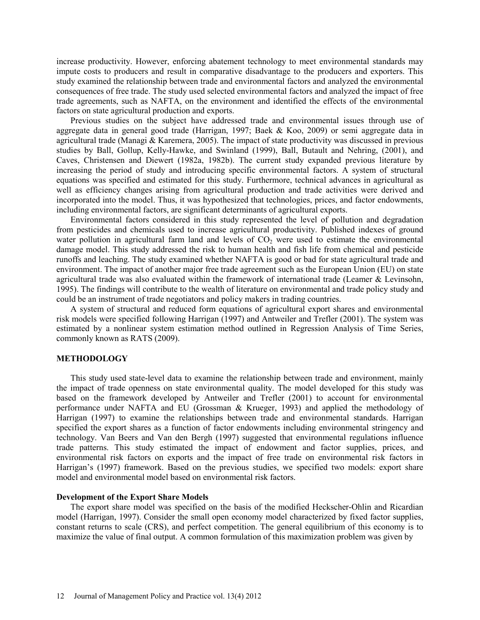increase productivity. However, enforcing abatement technology to meet environmental standards may impute costs to producers and result in comparative disadvantage to the producers and exporters. This study examined the relationship between trade and environmental factors and analyzed the environmental consequences of free trade. The study used selected environmental factors and analyzed the impact of free trade agreements, such as NAFTA, on the environment and identified the effects of the environmental factors on state agricultural production and exports.

Previous studies on the subject have addressed trade and environmental issues through use of aggregate data in general good trade (Harrigan, 1997; Baek & Koo, 2009) or semi aggregate data in agricultural trade (Managi  $&$  Karemera, 2005). The impact of state productivity was discussed in previous studies by Ball, Gollup, Kelly-Hawke, and Swinland (1999), Ball, Butault and Nehring, (2001), and Caves, Christensen and Diewert (1982a, 1982b). The current study expanded previous literature by increasing the period of study and introducing specific environmental factors. A system of structural equations was specified and estimated for this study. Furthermore, technical advances in agricultural as well as efficiency changes arising from agricultural production and trade activities were derived and incorporated into the model. Thus, it was hypothesized that technologies, prices, and factor endowments, including environmental factors, are significant determinants of agricultural exports.

Environmental factors considered in this study represented the level of pollution and degradation from pesticides and chemicals used to increase agricultural productivity. Published indexes of ground water pollution in agricultural farm land and levels of  $CO<sub>2</sub>$  were used to estimate the environmental damage model. This study addressed the risk to human health and fish life from chemical and pesticide runoffs and leaching. The study examined whether NAFTA is good or bad for state agricultural trade and environment. The impact of another major free trade agreement such as the European Union (EU) on state agricultural trade was also evaluated within the framework of international trade (Leamer & Levinsohn, 1995). The findings will contribute to the wealth of literature on environmental and trade policy study and could be an instrument of trade negotiators and policy makers in trading countries.

A system of structural and reduced form equations of agricultural export shares and environmental risk models were specified following Harrigan (1997) and Antweiler and Trefler (2001). The system was estimated by a nonlinear system estimation method outlined in Regression Analysis of Time Series, commonly known as RATS (2009).

## **METHODOLOGY**

This study used state-level data to examine the relationship between trade and environment, mainly the impact of trade openness on state environmental quality. The model developed for this study was based on the framework developed by Antweiler and Trefler (2001) to account for environmental performance under NAFTA and EU (Grossman & Krueger, 1993) and applied the methodology of Harrigan (1997) to examine the relationships between trade and environmental standards. Harrigan specified the export shares as a function of factor endowments including environmental stringency and technology. Van Beers and Van den Bergh (1997) suggested that environmental regulations influence trade patterns. This study estimated the impact of endowment and factor supplies, prices, and environmental risk factors on exports and the impact of free trade on environmental risk factors in Harrigan's (1997) framework. Based on the previous studies, we specified two models: export share model and environmental model based on environmental risk factors.

#### **Development of the Export Share Models**

The export share model was specified on the basis of the modified Heckscher-Ohlin and Ricardian model (Harrigan, 1997). Consider the small open economy model characterized by fixed factor supplies, constant returns to scale (CRS), and perfect competition. The general equilibrium of this economy is to maximize the value of final output. A common formulation of this maximization problem was given by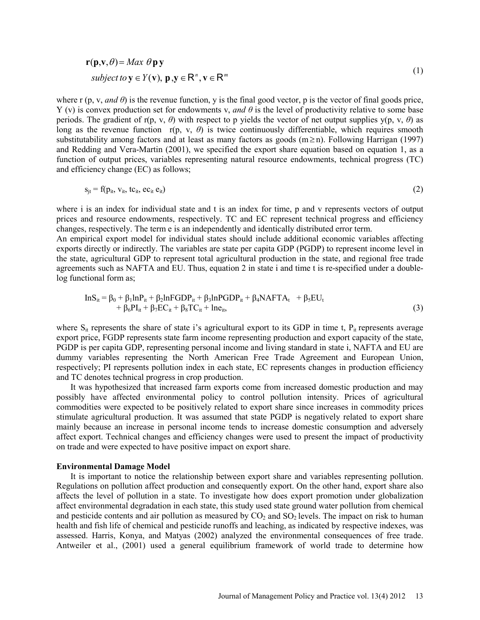$$
\mathbf{r}(\mathbf{p}, \mathbf{v}, \theta) = Max \ \theta \mathbf{p} \mathbf{y}
$$
  
subject to  $\mathbf{y} \in Y(\mathbf{v}), \mathbf{p}, \mathbf{y} \in \mathbb{R}^n, \mathbf{v} \in \mathbb{R}^m$  (1)

where r  $(p, v, and \theta)$  is the revenue function, y is the final good vector, p is the vector of final goods price, Y (v) is convex production set for endowments v, *and θ* is the level of productivity relative to some base periods. The gradient of  $r(p, v, \theta)$  with respect to p yields the vector of net output supplies  $y(p, v, \theta)$  as long as the revenue function r(p, v, *θ*) is twice continuously differentiable, which requires smooth substitutability among factors and at least as many factors as goods (m≥ n). Following Harrigan (1997) and Redding and Vera-Martin (2001), we specified the export share equation based on equation 1, as a function of output prices, variables representing natural resource endowments, technical progress (TC) and efficiency change (EC) as follows;

$$
s_{jt} = f(p_{it}, v_{it}, tc_{it}, ec_{it} \tbinom{e_{it}}{e_{it}})
$$

where i is an index for individual state and t is an index for time, p and v represents vectors of output prices and resource endowments, respectively. TC and EC represent technical progress and efficiency changes, respectively. The term e is an independently and identically distributed error term.

An empirical export model for individual states should include additional economic variables affecting exports directly or indirectly. The variables are state per capita GDP (PGDP) to represent income level in the state, agricultural GDP to represent total agricultural production in the state, and regional free trade agreements such as NAFTA and EU. Thus, equation 2 in state i and time t is re-specified under a doublelog functional form as;

$$
InSit = \beta_0 + \beta_1 InPit + \beta_2 InFGDPit + \beta_3 InPGDPit + \beta_4 NAFTAt + \beta_5 EUt+ \beta_6 PIit + \beta_7 ECit + \beta_8 TCit + Ineit,
$$
\n(3)

where  $S_{it}$  represents the share of state i's agricultural export to its GDP in time t,  $P_{it}$  represents average export price, FGDP represents state farm income representing production and export capacity of the state, PGDP is per capita GDP, representing personal income and living standard in state i, NAFTA and EU are dummy variables representing the North American Free Trade Agreement and European Union, respectively; PI represents pollution index in each state, EC represents changes in production efficiency and TC denotes technical progress in crop production.

It was hypothesized that increased farm exports come from increased domestic production and may possibly have affected environmental policy to control pollution intensity. Prices of agricultural commodities were expected to be positively related to export share since increases in commodity prices stimulate agricultural production. It was assumed that state PGDP is negatively related to export share mainly because an increase in personal income tends to increase domestic consumption and adversely affect export. Technical changes and efficiency changes were used to present the impact of productivity on trade and were expected to have positive impact on export share.

#### **Environmental Damage Model**

It is important to notice the relationship between export share and variables representing pollution. Regulations on pollution affect production and consequently export. On the other hand, export share also affects the level of pollution in a state. To investigate how does export promotion under globalization affect environmental degradation in each state, this study used state ground water pollution from chemical and pesticide contents and air pollution as measured by  $CO<sub>2</sub>$  and  $SO<sub>2</sub>$  levels. The impact on risk to human health and fish life of chemical and pesticide runoffs and leaching, as indicated by respective indexes, was assessed. Harris, Konya, and Matyas (2002) analyzed the environmental consequences of free trade. Antweiler et al., (2001) used a general equilibrium framework of world trade to determine how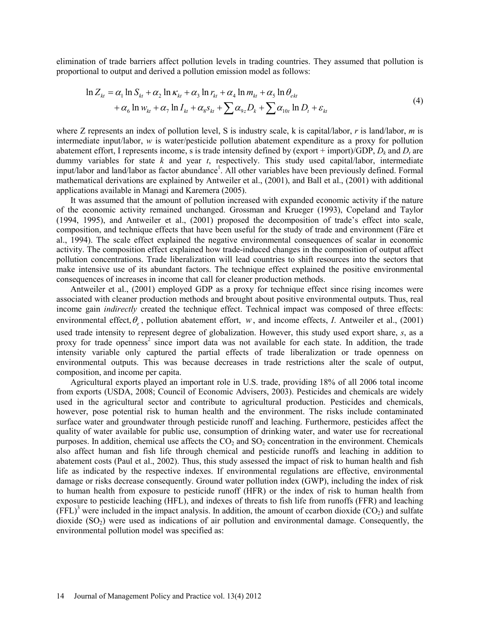elimination of trade barriers affect pollution levels in trading countries. They assumed that pollution is proportional to output and derived a pollution emission model as follows:

$$
\ln Z_{kt} = \alpha_1 \ln S_{kt} + \alpha_2 \ln \kappa_{kt} + \alpha_3 \ln r_{kt} + \alpha_4 \ln m_{kt} + \alpha_5 \ln \theta_{ekt}
$$
  
+  $\alpha_6 \ln w_{kt} + \alpha_7 \ln I_{kt} + \alpha_8 s_{kt} + \sum \alpha_{9z} D_k + \sum \alpha_{10t} \ln D_t + \varepsilon_{kt}$  (4)

where Z represents an index of pollution level, S is industry scale, k is capital/labor, *r* is land/labor, *m* is intermediate input/labor, *w* is water/pesticide pollution abatement expenditure as a proxy for pollution abatement effort, I represents income, s is trade intensity defined by  $(export + import)/GDP$ ,  $D_k$  and  $D_t$  are dummy variables for state *k* and year *t*, respectively. This study used capital/labor, intermediate input/labor and land/labor as factor abundance<sup>1</sup>. All other variables have been previously defined. Formal mathematical derivations are explained by Antweiler et al., (2001), and Ball et al., (2001) with additional applications available in Managi and Karemera (2005).

It was assumed that the amount of pollution increased with expanded economic activity if the nature of the economic activity remained unchanged. Grossman and Krueger (1993), Copeland and Taylor (1994, 1995), and Antweiler et al., (2001) proposed the decomposition of trade's effect into scale, composition, and technique effects that have been useful for the study of trade and environment (Färe et al., 1994). The scale effect explained the negative environmental consequences of scalar in economic activity. The composition effect explained how trade-induced changes in the composition of output affect pollution concentrations. Trade liberalization will lead countries to shift resources into the sectors that make intensive use of its abundant factors. The technique effect explained the positive environmental consequences of increases in income that call for cleaner production methods.

Antweiler et al., (2001) employed GDP as a proxy for technique effect since rising incomes were associated with cleaner production methods and brought about positive environmental outputs. Thus, real income gain *indirectly* created the technique effect. Technical impact was composed of three effects: environmental effect,θ*<sup>e</sup>* , pollution abatement effort, *w*, and income effects, *I*. Antweiler et al., (2001) used trade intensity to represent degree of globalization. However, this study used export share, *s*, as a proxy for trade openness<sup>2</sup> since import data was not available for each state. In addition, the trade intensity variable only captured the partial effects of trade liberalization or trade openness on environmental outputs. This was because decreases in trade restrictions alter the scale of output, composition, and income per capita.

Agricultural exports played an important role in U.S. trade, providing 18% of all 2006 total income from exports (USDA, 2008; Council of Economic Advisers, 2003). Pesticides and chemicals are widely used in the agricultural sector and contribute to agricultural production. Pesticides and chemicals, however, pose potential risk to human health and the environment. The risks include contaminated surface water and groundwater through pesticide runoff and leaching. Furthermore, pesticides affect the quality of water available for public use, consumption of drinking water, and water use for recreational purposes. In addition, chemical use affects the  $CO<sub>2</sub>$  and  $SO<sub>2</sub>$  concentration in the environment. Chemicals also affect human and fish life through chemical and pesticide runoffs and leaching in addition to abatement costs (Paul et al., 2002). Thus, this study assessed the impact of risk to human health and fish life as indicated by the respective indexes. If environmental regulations are effective, environmental damage or risks decrease consequently. Ground water pollution index (GWP), including the index of risk to human health from exposure to pesticide runoff (HFR) or the index of risk to human health from exposure to pesticide leaching (HFL), and indexes of threats to fish life from runoffs (FFR) and leaching  $(FFL)^3$  were included in the impact analysis. In addition, the amount of ccarbon dioxide  $(CO<sub>2</sub>)$  and sulfate dioxide  $(SO<sub>2</sub>)$  were used as indications of air pollution and environmental damage. Consequently, the environmental pollution model was specified as: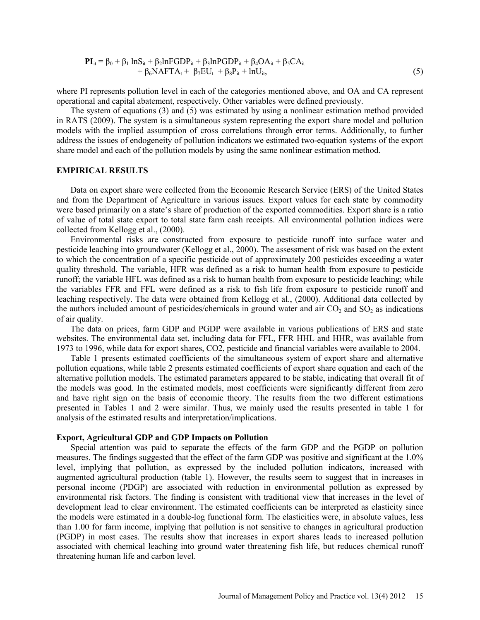$$
\mathbf{PI}_{it} = \beta_0 + \beta_1 \ln S_{it} + \beta_2 \ln FGDP_{it} + \beta_3 \ln PGDP_{it} + \beta_4 OA_{it} + \beta_5 CA_{it} + \beta_6 NAFTA_t + \beta_7 EU_t + \beta_8 P_{it} + \ln U_{it},
$$
\n(5)

where PI represents pollution level in each of the categories mentioned above, and OA and CA represent operational and capital abatement, respectively. Other variables were defined previously.

The system of equations (3) and (5) was estimated by using a nonlinear estimation method provided in RATS (2009). The system is a simultaneous system representing the export share model and pollution models with the implied assumption of cross correlations through error terms. Additionally, to further address the issues of endogeneity of pollution indicators we estimated two-equation systems of the export share model and each of the pollution models by using the same nonlinear estimation method.

#### **EMPIRICAL RESULTS**

Data on export share were collected from the Economic Research Service (ERS) of the United States and from the Department of Agriculture in various issues. Export values for each state by commodity were based primarily on a state's share of production of the exported commodities. Export share is a ratio of value of total state export to total state farm cash receipts. All environmental pollution indices were collected from Kellogg et al., (2000).

Environmental risks are constructed from exposure to pesticide runoff into surface water and pesticide leaching into groundwater (Kellogg et al., 2000). The assessment of risk was based on the extent to which the concentration of a specific pesticide out of approximately 200 pesticides exceeding a water quality threshold. The variable, HFR was defined as a risk to human health from exposure to pesticide runoff; the variable HFL was defined as a risk to human health from exposure to pesticide leaching; while the variables FFR and FFL were defined as a risk to fish life from exposure to pesticide runoff and leaching respectively. The data were obtained from Kellogg et al., (2000). Additional data collected by the authors included amount of pesticides/chemicals in ground water and air  $CO<sub>2</sub>$  and  $SO<sub>2</sub>$  as indications of air quality.

The data on prices, farm GDP and PGDP were available in various publications of ERS and state websites. The environmental data set, including data for FFL, FFR HHL and HHR, was available from 1973 to 1996, while data for export shares, CO2, pesticide and financial variables were available to 2004.

Table 1 presents estimated coefficients of the simultaneous system of export share and alternative pollution equations, while table 2 presents estimated coefficients of export share equation and each of the alternative pollution models. The estimated parameters appeared to be stable, indicating that overall fit of the models was good. In the estimated models, most coefficients were significantly different from zero and have right sign on the basis of economic theory. The results from the two different estimations presented in Tables 1 and 2 were similar. Thus, we mainly used the results presented in table 1 for analysis of the estimated results and interpretation/implications.

#### **Export, Agricultural GDP and GDP Impacts on Pollution**

Special attention was paid to separate the effects of the farm GDP and the PGDP on pollution measures. The findings suggested that the effect of the farm GDP was positive and significant at the 1.0% level, implying that pollution, as expressed by the included pollution indicators, increased with augmented agricultural production (table 1). However, the results seem to suggest that in increases in personal income (PDGP) are associated with reduction in environmental pollution as expressed by environmental risk factors. The finding is consistent with traditional view that increases in the level of development lead to clear environment. The estimated coefficients can be interpreted as elasticity since the models were estimated in a double-log functional form. The elasticities were, in absolute values, less than 1.00 for farm income, implying that pollution is not sensitive to changes in agricultural production (PGDP) in most cases. The results show that increases in export shares leads to increased pollution associated with chemical leaching into ground water threatening fish life, but reduces chemical runoff threatening human life and carbon level.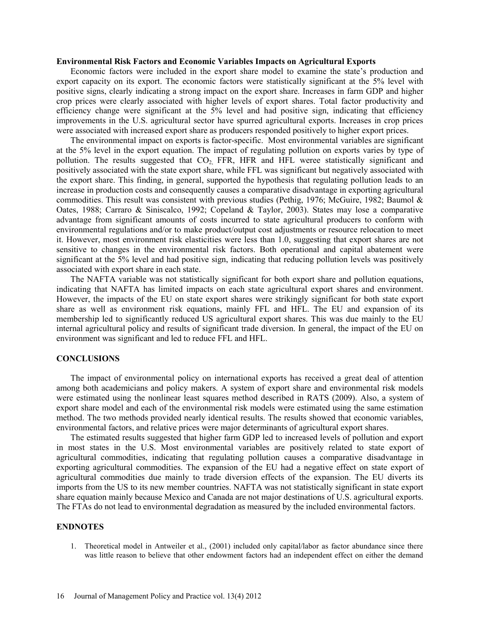#### **Environmental Risk Factors and Economic Variables Impacts on Agricultural Exports**

Economic factors were included in the export share model to examine the state's production and export capacity on its export. The economic factors were statistically significant at the 5% level with positive signs, clearly indicating a strong impact on the export share. Increases in farm GDP and higher crop prices were clearly associated with higher levels of export shares. Total factor productivity and efficiency change were significant at the 5% level and had positive sign, indicating that efficiency improvements in the U.S. agricultural sector have spurred agricultural exports. Increases in crop prices were associated with increased export share as producers responded positively to higher export prices.

The environmental impact on exports is factor-specific. Most environmental variables are significant at the 5% level in the export equation. The impact of regulating pollution on exports varies by type of pollution. The results suggested that  $CO<sub>2</sub>$  FFR, HFR and HFL weree statistically significant and positively associated with the state export share, while FFL was significant but negatively associated with the export share. This finding, in general, supported the hypothesis that regulating pollution leads to an increase in production costs and consequently causes a comparative disadvantage in exporting agricultural commodities. This result was consistent with previous studies (Pethig, 1976; McGuire, 1982; Baumol  $\&$ Oates, 1988; Carraro & Siniscalco, 1992; Copeland & Taylor, 2003). States may lose a comparative advantage from significant amounts of costs incurred to state agricultural producers to conform with environmental regulations and/or to make product/output cost adjustments or resource relocation to meet it. However, most environment risk elasticities were less than 1.0, suggesting that export shares are not sensitive to changes in the environmental risk factors. Both operational and capital abatement were significant at the 5% level and had positive sign, indicating that reducing pollution levels was positively associated with export share in each state.

The NAFTA variable was not statistically significant for both export share and pollution equations, indicating that NAFTA has limited impacts on each state agricultural export shares and environment. However, the impacts of the EU on state export shares were strikingly significant for both state export share as well as environment risk equations, mainly FFL and HFL. The EU and expansion of its membership led to significantly reduced US agricultural export shares. This was due mainly to the EU internal agricultural policy and results of significant trade diversion. In general, the impact of the EU on environment was significant and led to reduce FFL and HFL.

### **CONCLUSIONS**

The impact of environmental policy on international exports has received a great deal of attention among both academicians and policy makers. A system of export share and environmental risk models were estimated using the nonlinear least squares method described in RATS (2009). Also, a system of export share model and each of the environmental risk models were estimated using the same estimation method. The two methods provided nearly identical results. The results showed that economic variables, environmental factors, and relative prices were major determinants of agricultural export shares.

The estimated results suggested that higher farm GDP led to increased levels of pollution and export in most states in the U.S. Most environmental variables are positively related to state export of agricultural commodities, indicating that regulating pollution causes a comparative disadvantage in exporting agricultural commodities. The expansion of the EU had a negative effect on state export of agricultural commodities due mainly to trade diversion effects of the expansion. The EU diverts its imports from the US to its new member countries. NAFTA was not statistically significant in state export share equation mainly because Mexico and Canada are not major destinations of U.S. agricultural exports. The FTAs do not lead to environmental degradation as measured by the included environmental factors.

#### **ENDNOTES**

1. Theoretical model in Antweiler et al., (2001) included only capital/labor as factor abundance since there was little reason to believe that other endowment factors had an independent effect on either the demand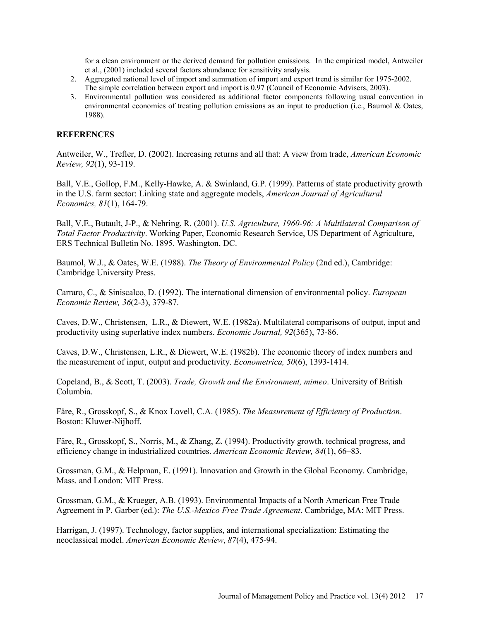for a clean environment or the derived demand for pollution emissions. In the empirical model, Antweiler et al., (2001) included several factors abundance for sensitivity analysis.

- 2. Aggregated national level of import and summation of import and export trend is similar for 1975-2002. The simple correlation between export and import is 0.97 (Council of Economic Advisers, 2003).
- 3. Environmental pollution was considered as additional factor components following usual convention in environmental economics of treating pollution emissions as an input to production (i.e., Baumol & Oates, 1988).

## **REFERENCES**

Antweiler, W., Trefler, D. (2002). Increasing returns and all that: A view from trade, *American Economic Review, 92*(1), 93-119.

Ball, V.E., Gollop, F.M., Kelly-Hawke, A. & Swinland, G.P. (1999). Patterns of state productivity growth in the U.S. farm sector: Linking state and aggregate models, *American Journal of Agricultural Economics, 81*(1), 164-79.

Ball, V.E., Butault, J-P., & Nehring, R. (2001). *U.S. Agriculture, 1960-96: A Multilateral Comparison of Total Factor Productivity*. Working Paper, Economic Research Service, US Department of Agriculture, ERS Technical Bulletin No. 1895. Washington, DC.

Baumol, W.J., & Oates, W.E. (1988). *The Theory of Environmental Policy* (2nd ed.), Cambridge: Cambridge University Press.

Carraro, C., & Siniscalco, D. (1992). The international dimension of environmental policy. *European Economic Review, 36*(2-3), 379-87.

Caves, D.W., Christensen, L.R., & Diewert, W.E. (1982a). Multilateral comparisons of output, input and productivity using superlative index numbers. *Economic Journal, 92*(365), 73-86.

Caves, D.W., Christensen, L.R., & Diewert, W.E. (1982b). The economic theory of index numbers and the measurement of input, output and productivity. *Econometrica, 50*(6), 1393-1414.

Copeland, B., & Scott, T. (2003). *Trade, Growth and the Environment, mimeo*. University of British Columbia.

Färe, R., Grosskopf, S., & Knox Lovell, C.A. (1985). *The Measurement of Efficiency of Production*. Boston: Kluwer-Nijhoff.

Färe, R., Grosskopf, S., Norris, M., & Zhang, Z. (1994). Productivity growth, technical progress, and efficiency change in industrialized countries. *American Economic Review, 84*(1), 66–83.

Grossman, G.M., & Helpman, E. (1991). Innovation and Growth in the Global Economy. Cambridge, Mass. and London: MIT Press.

Grossman, G.M., & Krueger, A.B. (1993). Environmental Impacts of a North American Free Trade Agreement in P. Garber (ed.): *The U.S.-Mexico Free Trade Agreement*. Cambridge, MA: MIT Press.

Harrigan, J. (1997). Technology, factor supplies, and international specialization: Estimating the neoclassical model. *American Economic Review*, *87*(4), 475-94.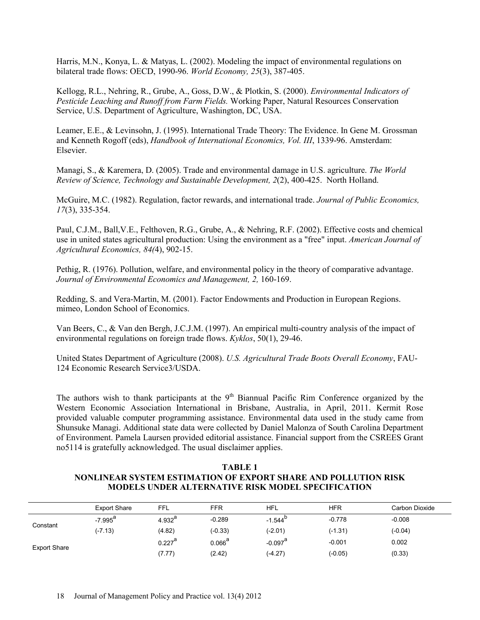Harris, M.N., Konya, L. & Matyas, L. (2002). Modeling the impact of environmental regulations on bilateral trade flows: OECD, 1990-96. *World Economy, 25*(3), 387-405.

Kellogg, R.L., Nehring, R., Grube, A., Goss, D.W., & Plotkin, S. (2000). *Environmental Indicators of Pesticide Leaching and Runoff from Farm Fields.* Working Paper, Natural Resources Conservation Service, U.S. Department of Agriculture, Washington, DC, USA.

Leamer, E.E., & Levinsohn, J. (1995). International Trade Theory: The Evidence. In Gene M. Grossman and Kenneth Rogoff (eds), *Handbook of International Economics, Vol. III*, 1339-96. Amsterdam: Elsevier.

Managi, S., & Karemera, D. (2005). Trade and environmental damage in U.S. agriculture. *The World Review of Science, Technology and Sustainable Development, 2*(2), 400-425. North Holland.

McGuire, M.C. (1982). Regulation, factor rewards, and international trade. *Journal of Public Economics, 17*(3), 335-354.

Paul, C.J.M., Ball,V.E., Felthoven, R.G., Grube, A., & Nehring, R.F. (2002). Effective costs and chemical use in united states agricultural production: Using the environment as a "free" input. *American Journal of Agricultural Economics, 84(*4), 902-15.

Pethig, R. (1976). Pollution, welfare, and environmental policy in the theory of comparative advantage. *Journal of Environmental Economics and Management, 2,* 160-169.

Redding, S. and Vera-Martin, M. (2001). Factor Endowments and Production in European Regions. mimeo, London School of Economics.

Van Beers, C., & Van den Bergh, J.C.J.M. (1997). An empirical multi-country analysis of the impact of environmental regulations on foreign trade flows. *Kyklos*, 50(1), 29-46.

United States Department of Agriculture (2008). *U.S. Agricultural Trade Boots Overall Economy*, FAU-124 Economic Research Service3/USDA.

The authors wish to thank participants at the  $9<sup>th</sup>$  Biannual Pacific Rim Conference organized by the Western Economic Association International in Brisbane, Australia, in April, 2011. Kermit Rose provided valuable computer programming assistance. Environmental data used in the study came from Shunsuke Managi. Additional state data were collected by Daniel Malonza of South Carolina Department of Environment. Pamela Laursen provided editorial assistance. Financial support from the CSREES Grant no5114 is gratefully acknowledged. The usual disclaimer applies.

## **TABLE 1 NONLINEAR SYSTEM ESTIMATION OF EXPORT SHARE AND POLLUTION RISK MODELS UNDER ALTERNATIVE RISK MODEL SPECIFICATION**

|                     | <b>Export Share</b> | <b>FFL</b>           | FFR                                        | <b>HFL</b>        | HFR       | Carbon Dioxide |
|---------------------|---------------------|----------------------|--------------------------------------------|-------------------|-----------|----------------|
|                     | -7.995 <sup>a</sup> | 4.932 $^{\sf a}$     | $-0.289$                                   | $-1.544$          | $-0.778$  | $-0.008$       |
| Constant            | (-7.13)             | (4.82)               | $(-0.33)$                                  | (-2.01)           | $(-1.31)$ | $(-0.04)$      |
|                     |                     | $0.227$ <sup>a</sup> | $0.066^{a}$                                | $-0.097^\text{a}$ | $-0.001$  | 0.002          |
| <b>Export Share</b> |                     | (7.77)               | $(-4.27)$<br>(0.33)<br>$(-0.05)$<br>(2.42) |                   |           |                |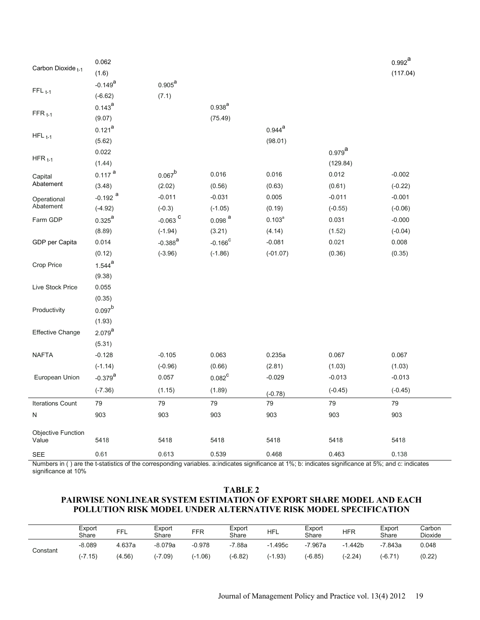|                                      | 0.062                 |                                                                                                                                                                                                                                                                                                                                                                                                                                                                                                                                                                                                                                                                                                                                                                                    |       |       |       | $0.992^{a}$ |
|--------------------------------------|-----------------------|------------------------------------------------------------------------------------------------------------------------------------------------------------------------------------------------------------------------------------------------------------------------------------------------------------------------------------------------------------------------------------------------------------------------------------------------------------------------------------------------------------------------------------------------------------------------------------------------------------------------------------------------------------------------------------------------------------------------------------------------------------------------------------|-------|-------|-------|-------------|
| Carbon Dioxide <sub>t-1</sub>        | (1.6)                 |                                                                                                                                                                                                                                                                                                                                                                                                                                                                                                                                                                                                                                                                                                                                                                                    |       |       |       | (117.04)    |
|                                      | $-0.149^{a}$          | $0.905^{\text{a}}$                                                                                                                                                                                                                                                                                                                                                                                                                                                                                                                                                                                                                                                                                                                                                                 |       |       |       |             |
| $FFL_{t-1}$                          | $(-6.62)$             | (7.1)<br>$0.938^{a}$<br>(75.49)<br>$0.944^{a}$<br>(98.01)<br>$0.979$ <sup>a</sup><br>(129.84)<br>$0.067^{b}$<br>0.016<br>0.016<br>0.012<br>(2.02)<br>(0.56)<br>(0.63)<br>(0.61)<br>$-0.011$<br>$-0.031$<br>0.005<br>$-0.011$<br>$(-0.3)$<br>$(-1.05)$<br>(0.19)<br>$(-0.55)$<br>$-0.063$ $^{\rm C}$<br>$0.098$ <sup>a</sup><br>$0.103^{a}$<br>0.031<br>(3.21)<br>$(-1.94)$<br>(4.14)<br>(1.52)<br>$-0.388^{a}$<br>$-0.166^{\circ}$<br>$-0.081$<br>0.021<br>$(-3.96)$<br>$(-1.86)$<br>$(-01.07)$<br>(0.36)<br>0.063<br>0.235a<br>$-0.105$<br>0.067<br>(0.66)<br>$(-0.96)$<br>(2.81)<br>(1.03)<br>$0.082^{\circ}$<br>$-0.029$<br>0.057<br>$-0.013$<br>(1.15)<br>(1.89)<br>$(-0.45)$<br>$(-0.78)$<br>79<br>79<br>79<br>79<br>903<br>903<br>903<br>903<br>5418<br>5418<br>5418<br>5418 |       |       |       |             |
|                                      | $0.143^{a}$           |                                                                                                                                                                                                                                                                                                                                                                                                                                                                                                                                                                                                                                                                                                                                                                                    |       |       |       |             |
| $FFR_{t-1}$                          | (9.07)                |                                                                                                                                                                                                                                                                                                                                                                                                                                                                                                                                                                                                                                                                                                                                                                                    |       |       |       |             |
|                                      | $0.121^{a}$           |                                                                                                                                                                                                                                                                                                                                                                                                                                                                                                                                                                                                                                                                                                                                                                                    |       |       |       |             |
| $HFL_{t-1}$                          | (5.62)                |                                                                                                                                                                                                                                                                                                                                                                                                                                                                                                                                                                                                                                                                                                                                                                                    |       |       |       |             |
|                                      | 0.022                 |                                                                                                                                                                                                                                                                                                                                                                                                                                                                                                                                                                                                                                                                                                                                                                                    |       |       |       |             |
| $HFR_{t-1}$                          | (1.44)                |                                                                                                                                                                                                                                                                                                                                                                                                                                                                                                                                                                                                                                                                                                                                                                                    |       |       |       |             |
| Capital<br>Abatement                 | $0.117$ <sup>a</sup>  |                                                                                                                                                                                                                                                                                                                                                                                                                                                                                                                                                                                                                                                                                                                                                                                    |       |       |       | $-0.002$    |
|                                      | (3.48)                |                                                                                                                                                                                                                                                                                                                                                                                                                                                                                                                                                                                                                                                                                                                                                                                    |       |       |       | $(-0.22)$   |
| Operational<br>Abatement<br>Farm GDP | $-0.192$ <sup>a</sup> |                                                                                                                                                                                                                                                                                                                                                                                                                                                                                                                                                                                                                                                                                                                                                                                    |       |       |       | $-0.001$    |
|                                      | $(-4.92)$             |                                                                                                                                                                                                                                                                                                                                                                                                                                                                                                                                                                                                                                                                                                                                                                                    |       |       |       | $(-0.06)$   |
|                                      | $0.325^{\text{a}}$    |                                                                                                                                                                                                                                                                                                                                                                                                                                                                                                                                                                                                                                                                                                                                                                                    |       |       |       | $-0.000$    |
|                                      | (8.89)                |                                                                                                                                                                                                                                                                                                                                                                                                                                                                                                                                                                                                                                                                                                                                                                                    |       |       |       | $(-0.04)$   |
| GDP per Capita                       | 0.014                 |                                                                                                                                                                                                                                                                                                                                                                                                                                                                                                                                                                                                                                                                                                                                                                                    |       |       |       | 0.008       |
|                                      | (0.12)                |                                                                                                                                                                                                                                                                                                                                                                                                                                                                                                                                                                                                                                                                                                                                                                                    |       |       |       | (0.35)      |
| Crop Price                           | $1.544^{a}$           |                                                                                                                                                                                                                                                                                                                                                                                                                                                                                                                                                                                                                                                                                                                                                                                    |       |       |       |             |
|                                      | (9.38)                |                                                                                                                                                                                                                                                                                                                                                                                                                                                                                                                                                                                                                                                                                                                                                                                    |       |       |       |             |
| Live Stock Price                     | 0.055                 |                                                                                                                                                                                                                                                                                                                                                                                                                                                                                                                                                                                                                                                                                                                                                                                    |       |       |       |             |
|                                      | (0.35)                |                                                                                                                                                                                                                                                                                                                                                                                                                                                                                                                                                                                                                                                                                                                                                                                    |       |       |       |             |
| Productivity                         | $0.097^{b}$           |                                                                                                                                                                                                                                                                                                                                                                                                                                                                                                                                                                                                                                                                                                                                                                                    |       |       |       |             |
|                                      | (1.93)                |                                                                                                                                                                                                                                                                                                                                                                                                                                                                                                                                                                                                                                                                                                                                                                                    |       |       |       |             |
| Effective Change                     | $2.079^{a}$           |                                                                                                                                                                                                                                                                                                                                                                                                                                                                                                                                                                                                                                                                                                                                                                                    |       |       |       |             |
|                                      | (5.31)                |                                                                                                                                                                                                                                                                                                                                                                                                                                                                                                                                                                                                                                                                                                                                                                                    |       |       |       |             |
| <b>NAFTA</b>                         | $-0.128$              |                                                                                                                                                                                                                                                                                                                                                                                                                                                                                                                                                                                                                                                                                                                                                                                    |       |       |       | 0.067       |
|                                      | $(-1.14)$             |                                                                                                                                                                                                                                                                                                                                                                                                                                                                                                                                                                                                                                                                                                                                                                                    |       |       |       | (1.03)      |
| European Union                       | $-0.379$ <sup>a</sup> |                                                                                                                                                                                                                                                                                                                                                                                                                                                                                                                                                                                                                                                                                                                                                                                    |       |       |       | $-0.013$    |
|                                      | $(-7.36)$             |                                                                                                                                                                                                                                                                                                                                                                                                                                                                                                                                                                                                                                                                                                                                                                                    |       |       |       | $(-0.45)$   |
| <b>Iterations Count</b>              | 79                    |                                                                                                                                                                                                                                                                                                                                                                                                                                                                                                                                                                                                                                                                                                                                                                                    |       |       |       | 79          |
| N                                    | 903                   |                                                                                                                                                                                                                                                                                                                                                                                                                                                                                                                                                                                                                                                                                                                                                                                    |       |       |       | 903         |
|                                      |                       |                                                                                                                                                                                                                                                                                                                                                                                                                                                                                                                                                                                                                                                                                                                                                                                    |       |       |       |             |
| Objective Function<br>Value          | 5418                  |                                                                                                                                                                                                                                                                                                                                                                                                                                                                                                                                                                                                                                                                                                                                                                                    |       |       |       | 5418        |
| <b>SEE</b>                           | 0.61                  | 0.613                                                                                                                                                                                                                                                                                                                                                                                                                                                                                                                                                                                                                                                                                                                                                                              | 0.539 | 0.468 | 0.463 | 0.138       |

Numbers in () are the t-statistics of the corresponding variables. a:indicates significance at 1%; b: indicates significance at 5%; and c: indicates significance at 10%

## **TABLE 2 PAIRWISE NONLINEAR SYSTEM ESTIMATION OF EXPORT SHARE MODEL AND EACH POLLUTION RISK MODEL UNDER ALTERNATIVE RISK MODEL SPECIFICATION**

|          | Export<br>Share | FFL    | Export<br>Share | <b>FFR</b> | Export<br>Share | <b>HFL</b> | Export<br>Share | <b>HFR</b> | Export<br>Share | Carbon<br><b>Dioxide</b> |
|----------|-----------------|--------|-----------------|------------|-----------------|------------|-----------------|------------|-----------------|--------------------------|
| Constant | $-8.089$        | 4.637a | $-8.079a$       | $-0.978$   | 7.88a           | $-1.495c$  | $-7.967a$       | 1.442b     | -7.843a         | 0.048                    |
|          | (-7.15)         | (4.56) | $(-7.09)$       | (-1.06)    | $(-6.82)$       | $(-1.93)$  | $(-6.85)$       | (-2.24)    | (-6.71)         | (0.22)                   |